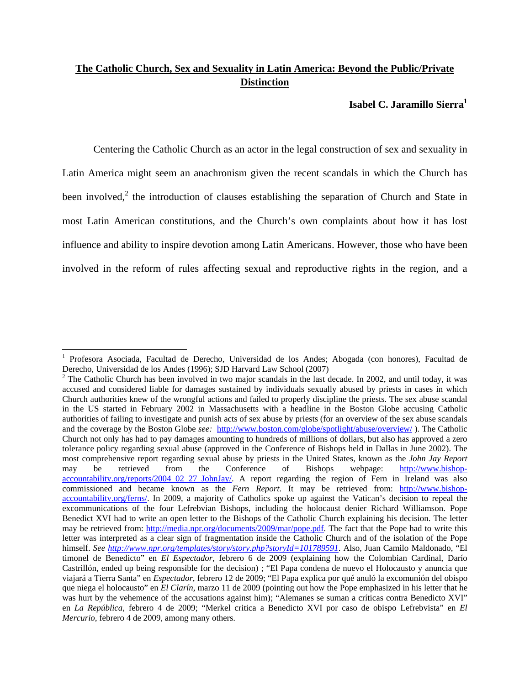# **The Catholic Church, Sex and Sexuality in Latin America: Beyond the Public/Private Distinction**

## **Isabel C. Jaramillo Sierra**<sup>1</sup>

Centering the Catholic Church as an actor in the legal construction of sex and sexuality in Latin America might seem an anachronism given the recent scandals in which the Church has been involved,<sup>2</sup> the introduction of clauses establishing the separation of Church and State in most Latin American constitutions, and the Church's own complaints about how it has lost influence and ability to inspire devotion among Latin Americans. However, those who have been involved in the reform of rules affecting sexual and reproductive rights in the region, and a

 1 Profesora Asociada, Facultad de Derecho, Universidad de los Andes; Abogada (con honores), Facultad de Derecho, Universidad de los Andes (1996); SJD Harvard Law School (2007)

<sup>&</sup>lt;sup>2</sup> The Catholic Church has been involved in two major scandals in the last decade. In 2002, and until today, it was accused and considered liable for damages sustained by individuals sexually abused by priests in cases in which Church authorities knew of the wrongful actions and failed to properly discipline the priests. The sex abuse scandal in the US started in February 2002 in Massachusetts with a headline in the Boston Globe accusing Catholic authorities of failing to investigate and punish acts of sex abuse by priests (for an overview of the sex abuse scandals and the coverage by the Boston Globe *see:* http://www.boston.com/globe/spotlight/abuse/overview/ ). The Catholic Church not only has had to pay damages amounting to hundreds of millions of dollars, but also has approved a zero tolerance policy regarding sexual abuse (approved in the Conference of Bishops held in Dallas in June 2002). The most comprehensive report regarding sexual abuse by priests in the United States, known as the *John Jay Report* may be retrieved from the Conference of Bishops webpage: http://www.bishopaccountability.org/reports/2004\_02\_27\_JohnJay/. A report regarding the region of Fern in Ireland was also commissioned and became known as the *Fern Report*. It may be retrieved from: http://www.bishopaccountability.org/ferns/. In 2009, a majority of Catholics spoke up against the Vatican's decision to repeal the excommunications of the four Lefrebvian Bishops, including the holocaust denier Richard Williamson. Pope Benedict XVI had to write an open letter to the Bishops of the Catholic Church explaining his decision. The letter may be retrieved from: http://media.npr.org/documents/2009/mar/pope.pdf. The fact that the Pope had to write this letter was interpreted as a clear sign of fragmentation inside the Catholic Church and of the isolation of the Pope himself. *See http://www.npr.org/templates/story/story.php?storyId=101789591*. Also, Juan Camilo Maldonado, "El timonel de Benedicto" en *El Espectador*, febrero 6 de 2009 (explaining how the Colombian Cardinal, Darío Castrillón, ended up being responsible for the decision) ; "El Papa condena de nuevo el Holocausto y anuncia que viajará a Tierra Santa" en *Espectador*, febrero 12 de 2009; "El Papa explica por qué anuló la excomunión del obispo que niega el holocausto" en *El Clarín*, marzo 11 de 2009 (pointing out how the Pope emphasized in his letter that he was hurt by the vehemence of the accusations against him); "Alemanes se suman a críticas contra Benedicto XVI" en *La República*, febrero 4 de 2009; "Merkel critica a Benedicto XVI por caso de obispo Lefrebvista" en *El Mercurio*, febrero 4 de 2009, among many others.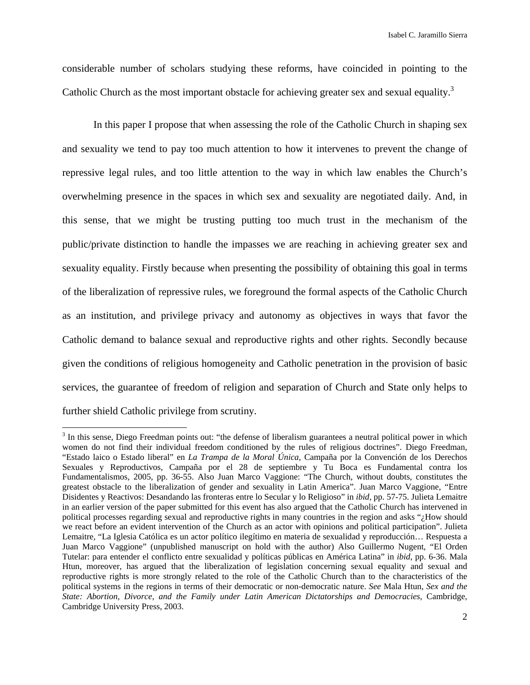considerable number of scholars studying these reforms, have coincided in pointing to the Catholic Church as the most important obstacle for achieving greater sex and sexual equality.<sup>3</sup>

In this paper I propose that when assessing the role of the Catholic Church in shaping sex and sexuality we tend to pay too much attention to how it intervenes to prevent the change of repressive legal rules, and too little attention to the way in which law enables the Church's overwhelming presence in the spaces in which sex and sexuality are negotiated daily. And, in this sense, that we might be trusting putting too much trust in the mechanism of the public/private distinction to handle the impasses we are reaching in achieving greater sex and sexuality equality. Firstly because when presenting the possibility of obtaining this goal in terms of the liberalization of repressive rules, we foreground the formal aspects of the Catholic Church as an institution, and privilege privacy and autonomy as objectives in ways that favor the Catholic demand to balance sexual and reproductive rights and other rights. Secondly because given the conditions of religious homogeneity and Catholic penetration in the provision of basic services, the guarantee of freedom of religion and separation of Church and State only helps to further shield Catholic privilege from scrutiny.

 $3$  In this sense, Diego Freedman points out: "the defense of liberalism guarantees a neutral political power in which women do not find their individual freedom conditioned by the rules of religious doctrines". Diego Freedman, "Estado laico o Estado liberal" en *La Trampa de la Moral Única*, Campaña por la Convención de los Derechos Sexuales y Reproductivos, Campaña por el 28 de septiembre y Tu Boca es Fundamental contra los Fundamentalismos, 2005, pp. 36-55. Also Juan Marco Vaggione: "The Church, without doubts, constitutes the greatest obstacle to the liberalization of gender and sexuality in Latin America". Juan Marco Vaggione, "Entre Disidentes y Reactivos: Desandando las fronteras entre lo Secular y lo Religioso" in *ibid*, pp. 57-75. Julieta Lemaitre in an earlier version of the paper submitted for this event has also argued that the Catholic Church has intervened in political processes regarding sexual and reproductive rights in many countries in the region and asks "¿How should we react before an evident intervention of the Church as an actor with opinions and political participation". Julieta Lemaitre, "La Iglesia Católica es un actor político ilegítimo en materia de sexualidad y reproducción… Respuesta a Juan Marco Vaggione" (unpublished manuscript on hold with the author) Also Guillermo Nugent, "El Orden Tutelar: para entender el conflicto entre sexualidad y políticas públicas en América Latina" in *ibid*, pp. 6-36. Mala Htun, moreover, has argued that the liberalization of legislation concerning sexual equality and sexual and reproductive rights is more strongly related to the role of the Catholic Church than to the characteristics of the political systems in the regions in terms of their democratic or non-democratic nature. *See* Mala Htun, *Sex and the State: Abortion, Divorce, and the Family under Latin American Dictatorships and Democracies*, Cambridge, Cambridge University Press, 2003.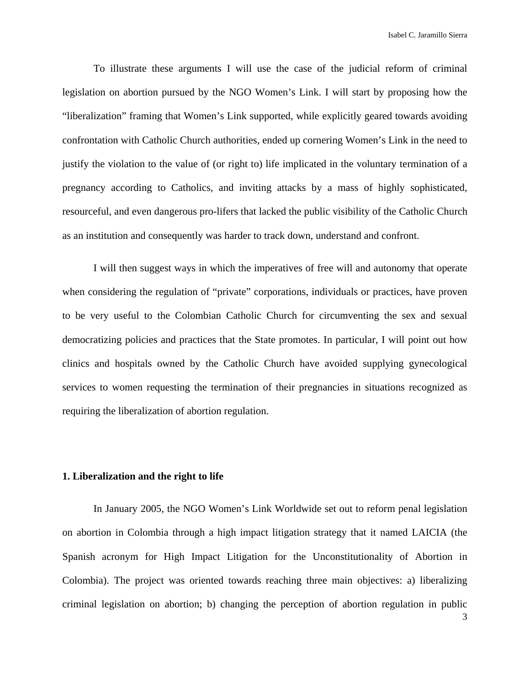To illustrate these arguments I will use the case of the judicial reform of criminal legislation on abortion pursued by the NGO Women's Link. I will start by proposing how the "liberalization" framing that Women's Link supported, while explicitly geared towards avoiding confrontation with Catholic Church authorities, ended up cornering Women's Link in the need to justify the violation to the value of (or right to) life implicated in the voluntary termination of a pregnancy according to Catholics, and inviting attacks by a mass of highly sophisticated, resourceful, and even dangerous pro-lifers that lacked the public visibility of the Catholic Church as an institution and consequently was harder to track down, understand and confront.

I will then suggest ways in which the imperatives of free will and autonomy that operate when considering the regulation of "private" corporations, individuals or practices, have proven to be very useful to the Colombian Catholic Church for circumventing the sex and sexual democratizing policies and practices that the State promotes. In particular, I will point out how clinics and hospitals owned by the Catholic Church have avoided supplying gynecological services to women requesting the termination of their pregnancies in situations recognized as requiring the liberalization of abortion regulation.

#### **1. Liberalization and the right to life**

In January 2005, the NGO Women's Link Worldwide set out to reform penal legislation on abortion in Colombia through a high impact litigation strategy that it named LAICIA (the Spanish acronym for High Impact Litigation for the Unconstitutionality of Abortion in Colombia). The project was oriented towards reaching three main objectives: a) liberalizing criminal legislation on abortion; b) changing the perception of abortion regulation in public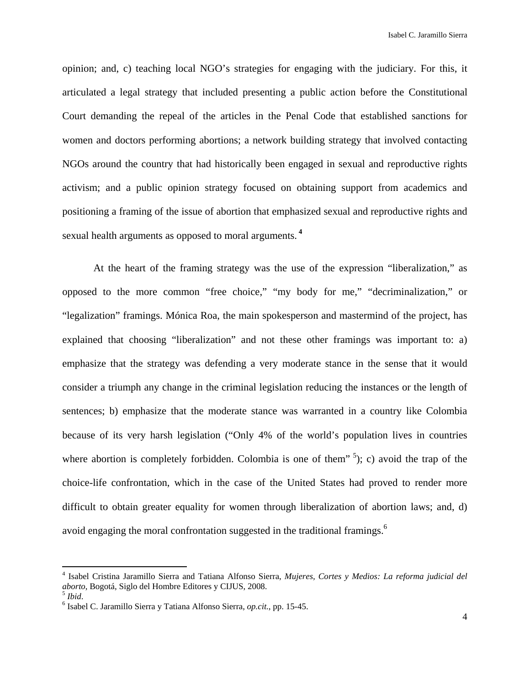opinion; and, c) teaching local NGO's strategies for engaging with the judiciary. For this, it articulated a legal strategy that included presenting a public action before the Constitutional Court demanding the repeal of the articles in the Penal Code that established sanctions for women and doctors performing abortions; a network building strategy that involved contacting NGOs around the country that had historically been engaged in sexual and reproductive rights activism; and a public opinion strategy focused on obtaining support from academics and positioning a framing of the issue of abortion that emphasized sexual and reproductive rights and sexual health arguments as opposed to moral arguments.**<sup>4</sup>**

At the heart of the framing strategy was the use of the expression "liberalization," as opposed to the more common "free choice," "my body for me," "decriminalization," or "legalization" framings. Mónica Roa, the main spokesperson and mastermind of the project, has explained that choosing "liberalization" and not these other framings was important to: a) emphasize that the strategy was defending a very moderate stance in the sense that it would consider a triumph any change in the criminal legislation reducing the instances or the length of sentences; b) emphasize that the moderate stance was warranted in a country like Colombia because of its very harsh legislation ("Only 4% of the world's population lives in countries where abortion is completely forbidden. Colombia is one of them<sup> $5$ </sup>); c) avoid the trap of the choice-life confrontation, which in the case of the United States had proved to render more difficult to obtain greater equality for women through liberalization of abortion laws; and, d) avoid engaging the moral confrontation suggested in the traditional framings.<sup>6</sup>

<sup>4</sup> Isabel Cristina Jaramillo Sierra and Tatiana Alfonso Sierra, *Mujeres, Cortes y Medios: La reforma judicial del aborto*, Bogotá, Siglo del Hombre Editores y CIJUS, 2008. 5 *Ibid*. 6

<sup>&</sup>lt;sup>6</sup> Isabel C. Jaramillo Sierra y Tatiana Alfonso Sierra, *op.cit.*, pp. 15-45.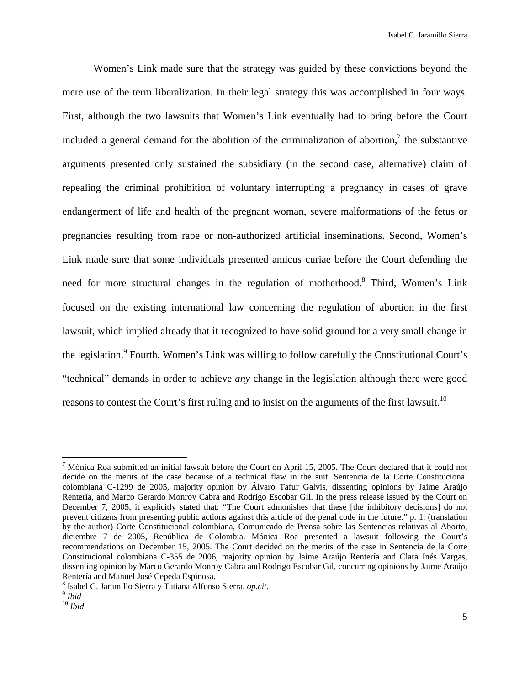Women's Link made sure that the strategy was guided by these convictions beyond the mere use of the term liberalization. In their legal strategy this was accomplished in four ways. First, although the two lawsuits that Women's Link eventually had to bring before the Court included a general demand for the abolition of the criminalization of abortion,<sup>7</sup> the substantive arguments presented only sustained the subsidiary (in the second case, alternative) claim of repealing the criminal prohibition of voluntary interrupting a pregnancy in cases of grave endangerment of life and health of the pregnant woman, severe malformations of the fetus or pregnancies resulting from rape or non-authorized artificial inseminations. Second, Women's Link made sure that some individuals presented amicus curiae before the Court defending the need for more structural changes in the regulation of motherhood.<sup>8</sup> Third, Women's Link focused on the existing international law concerning the regulation of abortion in the first lawsuit, which implied already that it recognized to have solid ground for a very small change in the legislation.<sup>9</sup> Fourth, Women's Link was willing to follow carefully the Constitutional Court's "technical" demands in order to achieve *any* change in the legislation although there were good reasons to contest the Court's first ruling and to insist on the arguments of the first lawsuit.<sup>10</sup>

 $<sup>7</sup>$  Mónica Roa submitted an initial lawsuit before the Court on April 15, 2005. The Court declared that it could not</sup> decide on the merits of the case because of a technical flaw in the suit. Sentencia de la Corte Constitucional colombiana C-1299 de 2005, majority opinion by Álvaro Tafur Galvis, dissenting opinions by Jaime Araújo Rentería, and Marco Gerardo Monroy Cabra and Rodrigo Escobar Gil. In the press release issued by the Court on December 7, 2005, it explicitly stated that: "The Court admonishes that these [the inhibitory decisions] do not prevent citizens from presenting public actions against this article of the penal code in the future." p. 1. (translation by the author) Corte Constitucional colombiana, Comunicado de Prensa sobre las Sentencias relativas al Aborto, diciembre 7 de 2005, República de Colombia. Mónica Roa presented a lawsuit following the Court's recommendations on December 15, 2005. The Court decided on the merits of the case in Sentencia de la Corte Constitucional colombiana C-355 de 2006, majority opinion by Jaime Araújo Rentería and Clara Inés Vargas, dissenting opinion by Marco Gerardo Monroy Cabra and Rodrigo Escobar Gil, concurring opinions by Jaime Araújo Rentería and Manuel José Cepeda Espinosa.

<sup>8</sup> Isabel C. Jaramillo Sierra y Tatiana Alfonso Sierra, *op.cit*. 9 *Ibid*

<sup>10</sup> *Ibid*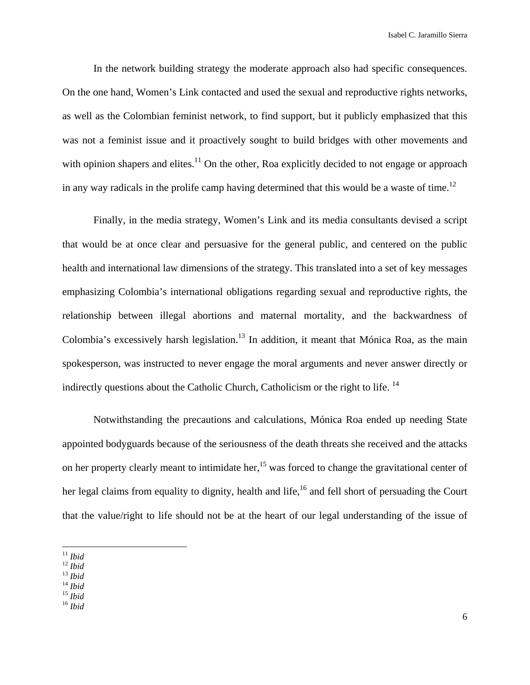In the network building strategy the moderate approach also had specific consequences. On the one hand, Women's Link contacted and used the sexual and reproductive rights networks, as well as the Colombian feminist network, to find support, but it publicly emphasized that this was not a feminist issue and it proactively sought to build bridges with other movements and with opinion shapers and elites.<sup>11</sup> On the other, Roa explicitly decided to not engage or approach in any way radicals in the prolife camp having determined that this would be a waste of time.<sup>12</sup>

Finally, in the media strategy, Women's Link and its media consultants devised a script that would be at once clear and persuasive for the general public, and centered on the public health and international law dimensions of the strategy. This translated into a set of key messages emphasizing Colombia's international obligations regarding sexual and reproductive rights, the relationship between illegal abortions and maternal mortality, and the backwardness of Colombia's excessively harsh legislation.<sup>13</sup> In addition, it meant that Mónica Roa, as the main spokesperson, was instructed to never engage the moral arguments and never answer directly or indirectly questions about the Catholic Church, Catholicism or the right to life. 14

Notwithstanding the precautions and calculations, Mónica Roa ended up needing State appointed bodyguards because of the seriousness of the death threats she received and the attacks on her property clearly meant to intimidate her,<sup>15</sup> was forced to change the gravitational center of her legal claims from equality to dignity, health and life,<sup>16</sup> and fell short of persuading the Court that the value/right to life should not be at the heart of our legal understanding of the issue of

<sup>11</sup> *Ibid* 12 *Ibid* 13 *Ibid* 14 *Ibid* 15 *Ibid* 16 *Ibid*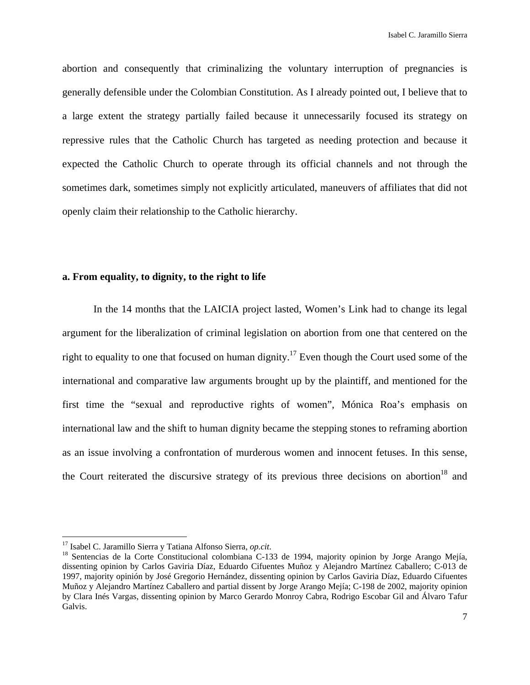abortion and consequently that criminalizing the voluntary interruption of pregnancies is generally defensible under the Colombian Constitution. As I already pointed out, I believe that to a large extent the strategy partially failed because it unnecessarily focused its strategy on repressive rules that the Catholic Church has targeted as needing protection and because it expected the Catholic Church to operate through its official channels and not through the sometimes dark, sometimes simply not explicitly articulated, maneuvers of affiliates that did not openly claim their relationship to the Catholic hierarchy.

#### **a. From equality, to dignity, to the right to life**

In the 14 months that the LAICIA project lasted, Women's Link had to change its legal argument for the liberalization of criminal legislation on abortion from one that centered on the right to equality to one that focused on human dignity.<sup>17</sup> Even though the Court used some of the international and comparative law arguments brought up by the plaintiff, and mentioned for the first time the "sexual and reproductive rights of women", Mónica Roa's emphasis on international law and the shift to human dignity became the stepping stones to reframing abortion as an issue involving a confrontation of murderous women and innocent fetuses. In this sense, the Court reiterated the discursive strategy of its previous three decisions on abortion<sup>18</sup> and

<sup>&</sup>lt;sup>17</sup> Isabel C. Jaramillo Sierra y Tatiana Alfonso Sierra, *op.cit*.<br><sup>18</sup> Sentencias de la Corte Constitucional colombiana C-133 de 1994, majority opinion by Jorge Arango Mejía, dissenting opinion by Carlos Gaviria Díaz, Eduardo Cifuentes Muñoz y Alejandro Martínez Caballero; C-013 de 1997, majority opinión by José Gregorio Hernández, dissenting opinion by Carlos Gaviria Díaz, Eduardo Cifuentes Muñoz y Alejandro Martínez Caballero and partial dissent by Jorge Arango Mejía; C-198 de 2002, majority opinion by Clara Inés Vargas, dissenting opinion by Marco Gerardo Monroy Cabra, Rodrigo Escobar Gil and Álvaro Tafur Galvis.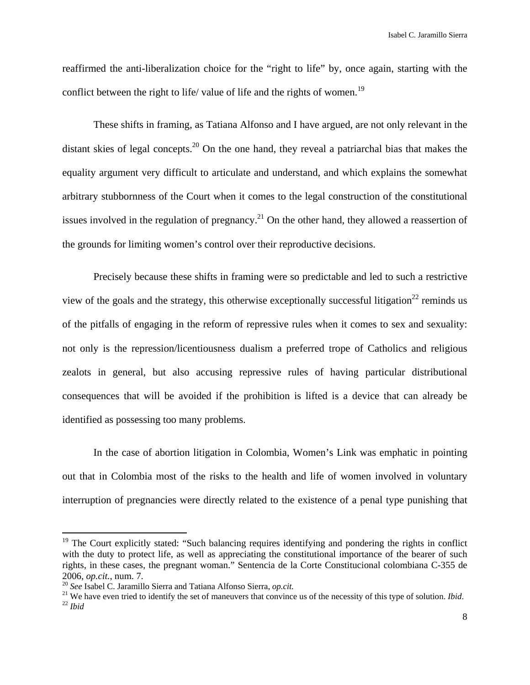Isabel C. Jaramillo Sierra

reaffirmed the anti-liberalization choice for the "right to life" by, once again, starting with the conflict between the right to life/ value of life and the rights of women.<sup>19</sup>

These shifts in framing, as Tatiana Alfonso and I have argued, are not only relevant in the distant skies of legal concepts.<sup>20</sup> On the one hand, they reveal a patriarchal bias that makes the equality argument very difficult to articulate and understand, and which explains the somewhat arbitrary stubbornness of the Court when it comes to the legal construction of the constitutional issues involved in the regulation of pregnancy.<sup>21</sup> On the other hand, they allowed a reassertion of the grounds for limiting women's control over their reproductive decisions.

Precisely because these shifts in framing were so predictable and led to such a restrictive view of the goals and the strategy, this otherwise exceptionally successful litigation<sup>22</sup> reminds us of the pitfalls of engaging in the reform of repressive rules when it comes to sex and sexuality: not only is the repression/licentiousness dualism a preferred trope of Catholics and religious zealots in general, but also accusing repressive rules of having particular distributional consequences that will be avoided if the prohibition is lifted is a device that can already be identified as possessing too many problems.

In the case of abortion litigation in Colombia, Women's Link was emphatic in pointing out that in Colombia most of the risks to the health and life of women involved in voluntary interruption of pregnancies were directly related to the existence of a penal type punishing that

 $19$  The Court explicitly stated: "Such balancing requires identifying and pondering the rights in conflict with the duty to protect life, as well as appreciating the constitutional importance of the bearer of such rights, in these cases, the pregnant woman." Sentencia de la Corte Constitucional colombiana C-355 de

<sup>2006,</sup> *op.cit.*, num. 7.<br><sup>20</sup> See Isabel C. Jaramillo Sierra and Tatiana Alfonso Sierra, *op.cit.*<br><sup>21</sup> We have even tried to identify the set of maneuvers that convince us of the necessity of this type of solution. *Ibid*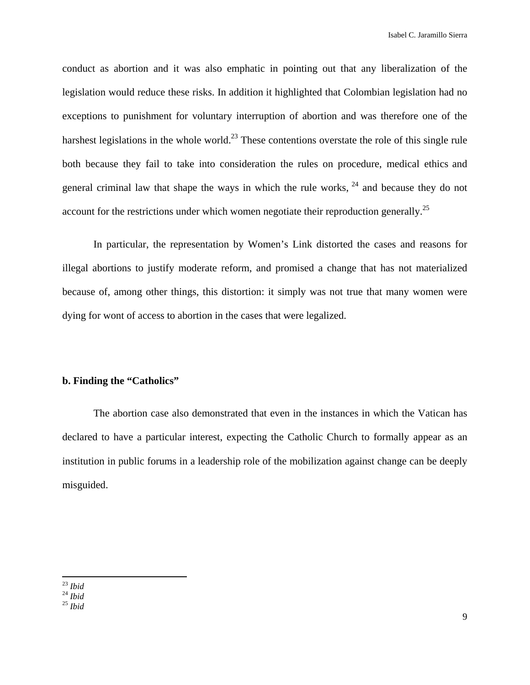conduct as abortion and it was also emphatic in pointing out that any liberalization of the legislation would reduce these risks. In addition it highlighted that Colombian legislation had no exceptions to punishment for voluntary interruption of abortion and was therefore one of the harshest legislations in the whole world.<sup>23</sup> These contentions overstate the role of this single rule both because they fail to take into consideration the rules on procedure, medical ethics and general criminal law that shape the ways in which the rule works,  $24$  and because they do not account for the restrictions under which women negotiate their reproduction generally.<sup>25</sup>

In particular, the representation by Women's Link distorted the cases and reasons for illegal abortions to justify moderate reform, and promised a change that has not materialized because of, among other things, this distortion: it simply was not true that many women were dying for wont of access to abortion in the cases that were legalized.

## **b. Finding the "Catholics"**

The abortion case also demonstrated that even in the instances in which the Vatican has declared to have a particular interest, expecting the Catholic Church to formally appear as an institution in public forums in a leadership role of the mobilization against change can be deeply misguided.

 23 *Ibid* 24 *Ibid* 25 *Ibid*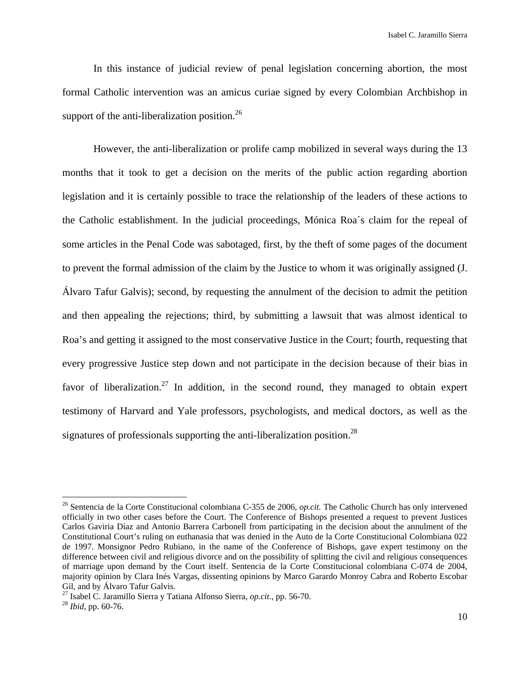In this instance of judicial review of penal legislation concerning abortion, the most formal Catholic intervention was an amicus curiae signed by every Colombian Archbishop in support of the anti-liberalization position. $^{26}$ 

However, the anti-liberalization or prolife camp mobilized in several ways during the 13 months that it took to get a decision on the merits of the public action regarding abortion legislation and it is certainly possible to trace the relationship of the leaders of these actions to the Catholic establishment. In the judicial proceedings, Mónica Roa´s claim for the repeal of some articles in the Penal Code was sabotaged, first, by the theft of some pages of the document to prevent the formal admission of the claim by the Justice to whom it was originally assigned (J. Álvaro Tafur Galvis); second, by requesting the annulment of the decision to admit the petition and then appealing the rejections; third, by submitting a lawsuit that was almost identical to Roa's and getting it assigned to the most conservative Justice in the Court; fourth, requesting that every progressive Justice step down and not participate in the decision because of their bias in favor of liberalization.<sup>27</sup> In addition, in the second round, they managed to obtain expert testimony of Harvard and Yale professors, psychologists, and medical doctors, as well as the signatures of professionals supporting the anti-liberalization position.<sup>28</sup>

<sup>26</sup> Sentencia de la Corte Constitucional colombiana C-355 de 2006, *op.cit.* The Catholic Church has only intervened officially in two other cases before the Court. The Conference of Bishops presented a request to prevent Justices Carlos Gaviria Díaz and Antonio Barrera Carbonell from participating in the decision about the annulment of the Constitutional Court's ruling on euthanasia that was denied in the Auto de la Corte Constitucional Colombiana 022 de 1997. Monsignor Pedro Rubiano, in the name of the Conference of Bishops, gave expert testimony on the difference between civil and religious divorce and on the possibility of splitting the civil and religious consequences of marriage upon demand by the Court itself. Sentencia de la Corte Constitucional colombiana C-074 de 2004, majority opinion by Clara Inés Vargas, dissenting opinions by Marco Garardo Monroy Cabra and Roberto Escobar Gil, and by Álvaro Tafur Galvis.

<sup>27</sup> Isabel C. Jaramillo Sierra y Tatiana Alfonso Sierra, *op.cit*., pp. 56-70. 28 *Ibid*, pp. 60-76.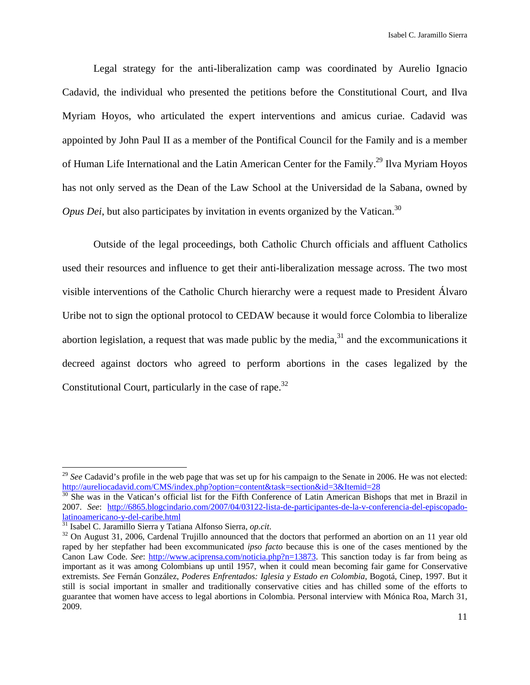Legal strategy for the anti-liberalization camp was coordinated by Aurelio Ignacio Cadavid, the individual who presented the petitions before the Constitutional Court, and Ilva Myriam Hoyos, who articulated the expert interventions and amicus curiae. Cadavid was appointed by John Paul II as a member of the Pontifical Council for the Family and is a member of Human Life International and the Latin American Center for the Family.<sup>29</sup> Ilva Myriam Hoyos has not only served as the Dean of the Law School at the Universidad de la Sabana, owned by *Opus Dei*, but also participates by invitation in events organized by the Vatican.<sup>30</sup>

Outside of the legal proceedings, both Catholic Church officials and affluent Catholics used their resources and influence to get their anti-liberalization message across. The two most visible interventions of the Catholic Church hierarchy were a request made to President Álvaro Uribe not to sign the optional protocol to CEDAW because it would force Colombia to liberalize abortion legislation, a request that was made public by the media, $31$  and the excommunications it decreed against doctors who agreed to perform abortions in the cases legalized by the Constitutional Court, particularly in the case of rape.<sup>32</sup>

<sup>&</sup>lt;sup>29</sup> See Cadavid's profile in the web page that was set up for his campaign to the Senate in 2006. He was not elected: http://aureliocadavid.com/CMS/index.php?option=content&task=section&id=3&Itemid=28<br><sup>30</sup> She was in the Vatican's official list for the Fifth Conference of Latin American Bishops that met in Brazil in

<sup>2007.</sup> *See*: http://6865.blogcindario.com/2007/04/03122-lista-de-participantes-de-la-v-conferencia-del-episcopado-

<sup>&</sup>lt;sup>31</sup> Isabel C. Jaramillo Sierra y Tatiana Alfonso Sierra, *op.cit*. <sup>32</sup> On August 31, 2006, Cardenal Trujillo announced that the doctors that performed an abortion on an 11 year old raped by her stepfather had been excommunicated *ipso facto* because this is one of the cases mentioned by the Canon Law Code. *See*: http://www.aciprensa.com/noticia.php?n=13873. This sanction today is far from being as important as it was among Colombians up until 1957, when it could mean becoming fair game for Conservative extremists. *See* Fernán González, *Poderes Enfrentados: Iglesia y Estado en Colombia*, Bogotá, Cinep, 1997. But it still is social important in smaller and traditionally conservative cities and has chilled some of the efforts to guarantee that women have access to legal abortions in Colombia. Personal interview with Mónica Roa, March 31, 2009.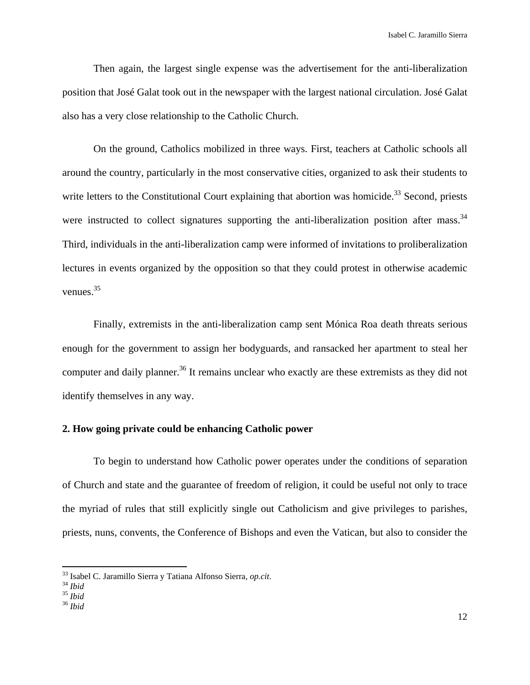Then again, the largest single expense was the advertisement for the anti-liberalization position that José Galat took out in the newspaper with the largest national circulation. José Galat also has a very close relationship to the Catholic Church.

On the ground, Catholics mobilized in three ways. First, teachers at Catholic schools all around the country, particularly in the most conservative cities, organized to ask their students to write letters to the Constitutional Court explaining that abortion was homicide.<sup>33</sup> Second, priests were instructed to collect signatures supporting the anti-liberalization position after mass.<sup>34</sup> Third, individuals in the anti-liberalization camp were informed of invitations to proliberalization lectures in events organized by the opposition so that they could protest in otherwise academic venues.35

Finally, extremists in the anti-liberalization camp sent Mónica Roa death threats serious enough for the government to assign her bodyguards, and ransacked her apartment to steal her computer and daily planner.<sup>36</sup> It remains unclear who exactly are these extremists as they did not identify themselves in any way.

## **2. How going private could be enhancing Catholic power**

To begin to understand how Catholic power operates under the conditions of separation of Church and state and the guarantee of freedom of religion, it could be useful not only to trace the myriad of rules that still explicitly single out Catholicism and give privileges to parishes, priests, nuns, convents, the Conference of Bishops and even the Vatican, but also to consider the

<sup>33</sup> Isabel C. Jaramillo Sierra y Tatiana Alfonso Sierra, *op.cit*. 34 *Ibid* <sup>35</sup> *Ibid* <sup>36</sup> *Ibid*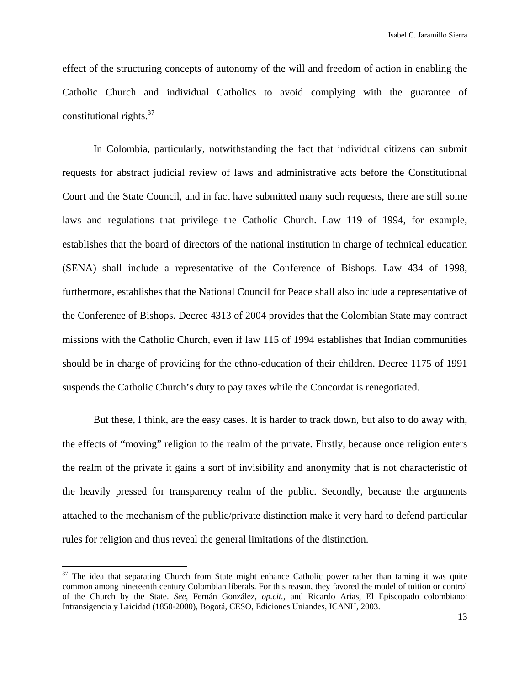effect of the structuring concepts of autonomy of the will and freedom of action in enabling the Catholic Church and individual Catholics to avoid complying with the guarantee of constitutional rights. $37$ 

In Colombia, particularly, notwithstanding the fact that individual citizens can submit requests for abstract judicial review of laws and administrative acts before the Constitutional Court and the State Council, and in fact have submitted many such requests, there are still some laws and regulations that privilege the Catholic Church. Law 119 of 1994, for example, establishes that the board of directors of the national institution in charge of technical education (SENA) shall include a representative of the Conference of Bishops. Law 434 of 1998, furthermore, establishes that the National Council for Peace shall also include a representative of the Conference of Bishops. Decree 4313 of 2004 provides that the Colombian State may contract missions with the Catholic Church, even if law 115 of 1994 establishes that Indian communities should be in charge of providing for the ethno-education of their children. Decree 1175 of 1991 suspends the Catholic Church's duty to pay taxes while the Concordat is renegotiated.

But these, I think, are the easy cases. It is harder to track down, but also to do away with, the effects of "moving" religion to the realm of the private. Firstly, because once religion enters the realm of the private it gains a sort of invisibility and anonymity that is not characteristic of the heavily pressed for transparency realm of the public. Secondly, because the arguments attached to the mechanism of the public/private distinction make it very hard to defend particular rules for religion and thus reveal the general limitations of the distinction.

 $37$  The idea that separating Church from State might enhance Catholic power rather than taming it was quite common among nineteenth century Colombian liberals. For this reason, they favored the model of tuition or control of the Church by the State. *See,* Fernán González, *op.cit.*, and Ricardo Arias, El Episcopado colombiano: Intransigencia y Laicidad (1850-2000), Bogotá, CESO, Ediciones Uniandes, ICANH, 2003.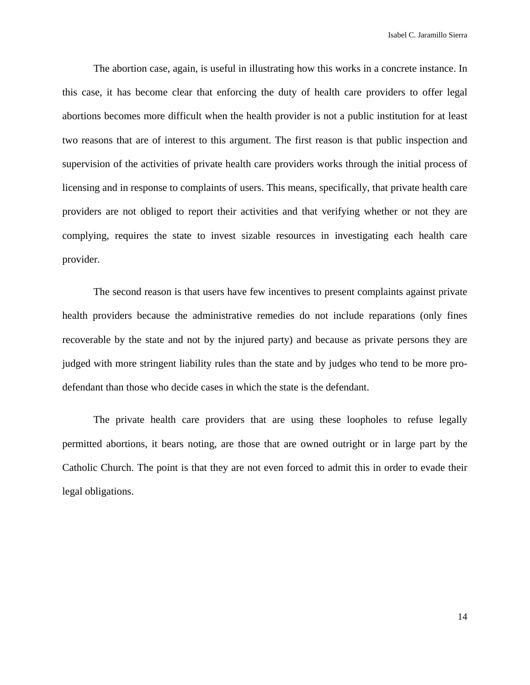Isabel C. Jaramillo Sierra

The abortion case, again, is useful in illustrating how this works in a concrete instance. In this case, it has become clear that enforcing the duty of health care providers to offer legal abortions becomes more difficult when the health provider is not a public institution for at least two reasons that are of interest to this argument. The first reason is that public inspection and supervision of the activities of private health care providers works through the initial process of licensing and in response to complaints of users. This means, specifically, that private health care providers are not obliged to report their activities and that verifying whether or not they are complying, requires the state to invest sizable resources in investigating each health care provider.

The second reason is that users have few incentives to present complaints against private health providers because the administrative remedies do not include reparations (only fines recoverable by the state and not by the injured party) and because as private persons they are judged with more stringent liability rules than the state and by judges who tend to be more prodefendant than those who decide cases in which the state is the defendant.

The private health care providers that are using these loopholes to refuse legally permitted abortions, it bears noting, are those that are owned outright or in large part by the Catholic Church. The point is that they are not even forced to admit this in order to evade their legal obligations.